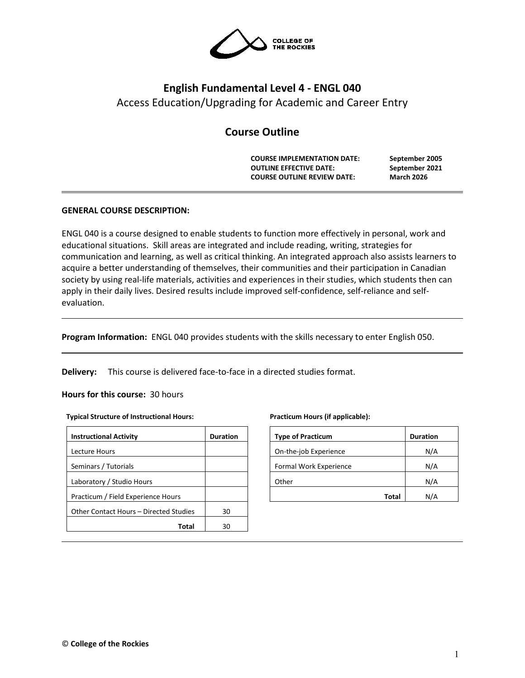

# **English Fundamental Level 4 - ENGL 040** Access Education/Upgrading for Academic and Career Entry

# **Course Outline**

**COURSE IMPLEMENTATION DATE: September 2005 OUTLINE EFFECTIVE DATE: COURSE OUTLINE REVIEW DATE: March 2026**

# **GENERAL COURSE DESCRIPTION:**

ENGL 040 is a course designed to enable students to function more effectively in personal, work and educational situations. Skill areas are integrated and include reading, writing, strategies for communication and learning, as well as critical thinking. An integrated approach also assists learners to acquire a better understanding of themselves, their communities and their participation in Canadian society by using real-life materials, activities and experiences in their studies, which students then can apply in their daily lives. Desired results include improved self-confidence, self-reliance and selfevaluation.

**Program Information:** ENGL 040 provides students with the skills necessary to enter English 050.

**Delivery:** This course is delivered face-to-face in a directed studies format.

## **Hours for this course:** 30 hours

## **Typical Structure of Instructional Hours:**

| <b>Instructional Activity</b>          | <b>Duration</b> |
|----------------------------------------|-----------------|
| Lecture Hours                          |                 |
| Seminars / Tutorials                   |                 |
| Laboratory / Studio Hours              |                 |
| Practicum / Field Experience Hours     |                 |
| Other Contact Hours – Directed Studies | 30              |
| Total                                  | 30              |

#### **Practicum Hours (if applicable):**

| <b>Type of Practicum</b> | <b>Duration</b> |
|--------------------------|-----------------|
| On-the-job Experience    | N/A             |
| Formal Work Experience   | N/A             |
| Other                    | N/A             |
| Total                    | N/A             |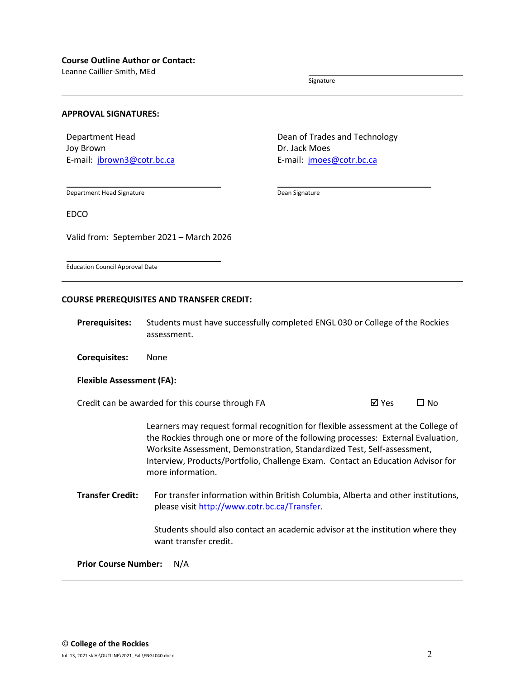Leanne Caillier-Smith, MEd

Signature

## **APPROVAL SIGNATURES:**

Department Head Joy Brown E-mail: [jbrown3@cotr.bc.ca](mailto:jbrown3@cotr.bc.ca) Dean of Trades and Technology Dr. Jack Moes E-mail: *[jmoes@cotr.bc.ca](mailto:jmoes@cotr.bc.ca)* 

Department Head Signature

Dean Signature

EDCO

Valid from: September 2021 – March 2026

Education Council Approval Date

## **COURSE PREREQUISITES AND TRANSFER CREDIT:**

**Prerequisites:** Students must have successfully completed ENGL 030 or College of the Rockies assessment.

**Corequisites:** None

#### **Flexible Assessment (FA):**

Credit can be awarded for this course through FA  $\boxtimes$  Yes  $\Box$  No

Learners may request formal recognition for flexible assessment at the College of the Rockies through one or more of the following processes: External Evaluation, Worksite Assessment, Demonstration, Standardized Test, Self-assessment, Interview, Products/Portfolio, Challenge Exam. Contact an Education Advisor for more information.

**Transfer Credit:** For transfer information within British Columbia, Alberta and other institutions, please visit [http://www.cotr.bc.ca/Transfer.](http://www.cotr.bc.ca/Transfer)

> Students should also contact an academic advisor at the institution where they want transfer credit.

**Prior Course Number:** N/A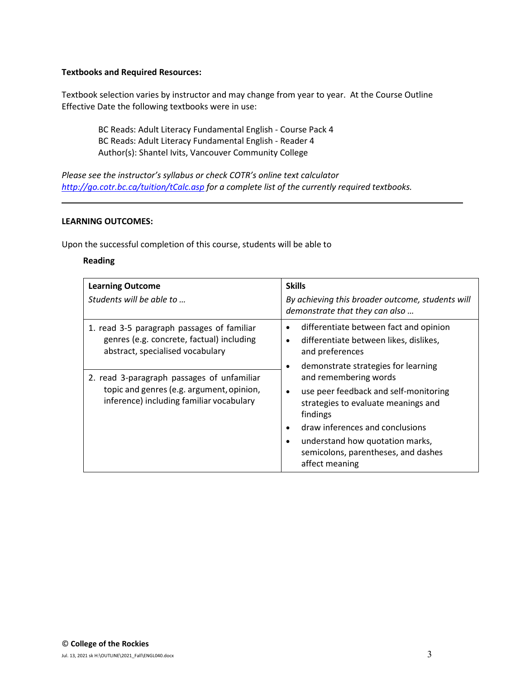## **Textbooks and Required Resources:**

Textbook selection varies by instructor and may change from year to year. At the Course Outline Effective Date the following textbooks were in use:

BC Reads: Adult Literacy Fundamental English - Course Pack 4 BC Reads: Adult Literacy Fundamental English - Reader 4 Author(s): Shantel Ivits, Vancouver Community College

*Please see the instructor's syllabus or check COTR's online text calculator <http://go.cotr.bc.ca/tuition/tCalc.asp> for a complete list of the currently required textbooks.*

## **LEARNING OUTCOMES:**

Upon the successful completion of this course, students will be able to

# **Reading**

| <b>Learning Outcome</b><br>Students will be able to                                                                                 | <b>Skills</b><br>By achieving this broader outcome, students will<br>demonstrate that they can also                                                               |
|-------------------------------------------------------------------------------------------------------------------------------------|-------------------------------------------------------------------------------------------------------------------------------------------------------------------|
| 1. read 3-5 paragraph passages of familiar<br>genres (e.g. concrete, factual) including<br>abstract, specialised vocabulary         | differentiate between fact and opinion<br>٠<br>differentiate between likes, dislikes,<br>٠<br>and preferences<br>demonstrate strategies for learning<br>$\bullet$ |
| 2. read 3-paragraph passages of unfamiliar<br>topic and genres (e.g. argument, opinion,<br>inference) including familiar vocabulary | and remembering words<br>use peer feedback and self-monitoring<br>strategies to evaluate meanings and<br>findings                                                 |
|                                                                                                                                     | draw inferences and conclusions<br>understand how quotation marks,<br>semicolons, parentheses, and dashes<br>affect meaning                                       |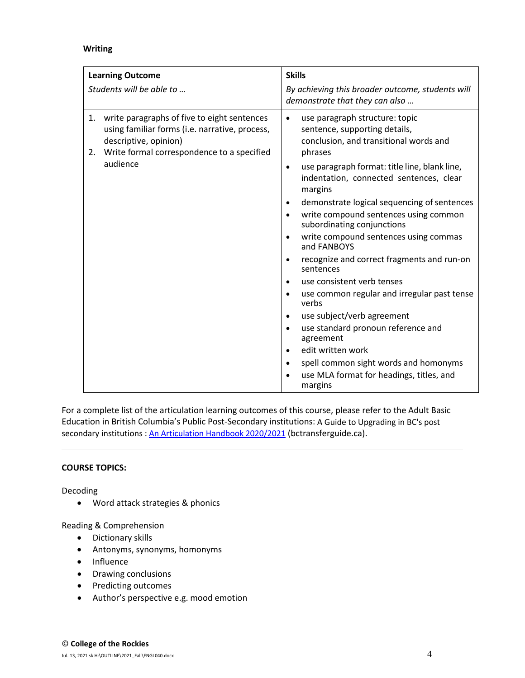# **Writing**

| <b>Learning Outcome</b>                                                                                                                                                                   | <b>Skills</b>                                                                                                                                                                                                                                                                                                                                                                                                                                                                                                                                                                                                                                                                                                                                                                                                                                                                         |
|-------------------------------------------------------------------------------------------------------------------------------------------------------------------------------------------|---------------------------------------------------------------------------------------------------------------------------------------------------------------------------------------------------------------------------------------------------------------------------------------------------------------------------------------------------------------------------------------------------------------------------------------------------------------------------------------------------------------------------------------------------------------------------------------------------------------------------------------------------------------------------------------------------------------------------------------------------------------------------------------------------------------------------------------------------------------------------------------|
| Students will be able to                                                                                                                                                                  | By achieving this broader outcome, students will<br>demonstrate that they can also                                                                                                                                                                                                                                                                                                                                                                                                                                                                                                                                                                                                                                                                                                                                                                                                    |
| 1. write paragraphs of five to eight sentences<br>using familiar forms (i.e. narrative, process,<br>descriptive, opinion)<br>Write formal correspondence to a specified<br>2.<br>audience | use paragraph structure: topic<br>sentence, supporting details,<br>conclusion, and transitional words and<br>phrases<br>use paragraph format: title line, blank line,<br>$\bullet$<br>indentation, connected sentences, clear<br>margins<br>demonstrate logical sequencing of sentences<br>write compound sentences using common<br>subordinating conjunctions<br>write compound sentences using commas<br>$\bullet$<br>and FANBOYS<br>recognize and correct fragments and run-on<br>$\bullet$<br>sentences<br>use consistent verb tenses<br>$\bullet$<br>use common regular and irregular past tense<br>$\bullet$<br>verbs<br>use subject/verb agreement<br>$\bullet$<br>use standard pronoun reference and<br>$\bullet$<br>agreement<br>edit written work<br>$\bullet$<br>spell common sight words and homonyms<br>$\bullet$<br>use MLA format for headings, titles, and<br>margins |

For a complete list of the articulation learning outcomes of this course, please refer to the Adult Basic Education in British Columbia's Public Post-Secondary institutions: A Guide to Upgrading in BC's post secondary institutions : [An Articulation Handbook 2020/2021](https://www.bctransferguide.ca/docs/ABE2020.pdf) (bctransferguide.ca).

# **COURSE TOPICS:**

Decoding

• Word attack strategies & phonics

Reading & Comprehension

- Dictionary skills
- Antonyms, synonyms, homonyms
- Influence
- Drawing conclusions
- Predicting outcomes
- Author's perspective e.g. mood emotion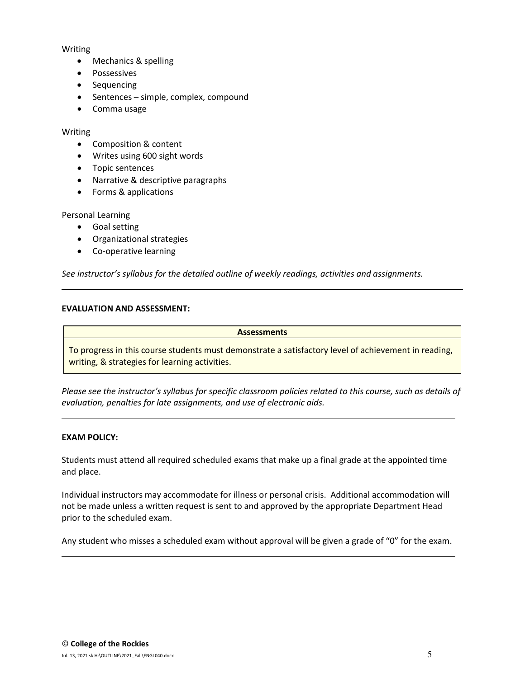# Writing

- Mechanics & spelling
- Possessives
- Sequencing
- Sentences simple, complex, compound
- Comma usage

## Writing

- Composition & content
- Writes using 600 sight words
- Topic sentences
- Narrative & descriptive paragraphs
- Forms & applications

# Personal Learning

- Goal setting
- Organizational strategies
- Co-operative learning

*See instructor's syllabus for the detailed outline of weekly readings, activities and assignments.* 

# **EVALUATION AND ASSESSMENT:**

## **Assessments**

To progress in this course students must demonstrate a satisfactory level of achievement in reading, writing, & strategies for learning activities.

*Please see the instructor's syllabus for specific classroom policies related to this course, such as details of evaluation, penalties for late assignments, and use of electronic aids.*

# **EXAM POLICY:**

Students must attend all required scheduled exams that make up a final grade at the appointed time and place.

Individual instructors may accommodate for illness or personal crisis. Additional accommodation will not be made unless a written request is sent to and approved by the appropriate Department Head prior to the scheduled exam.

Any student who misses a scheduled exam without approval will be given a grade of "0" for the exam.